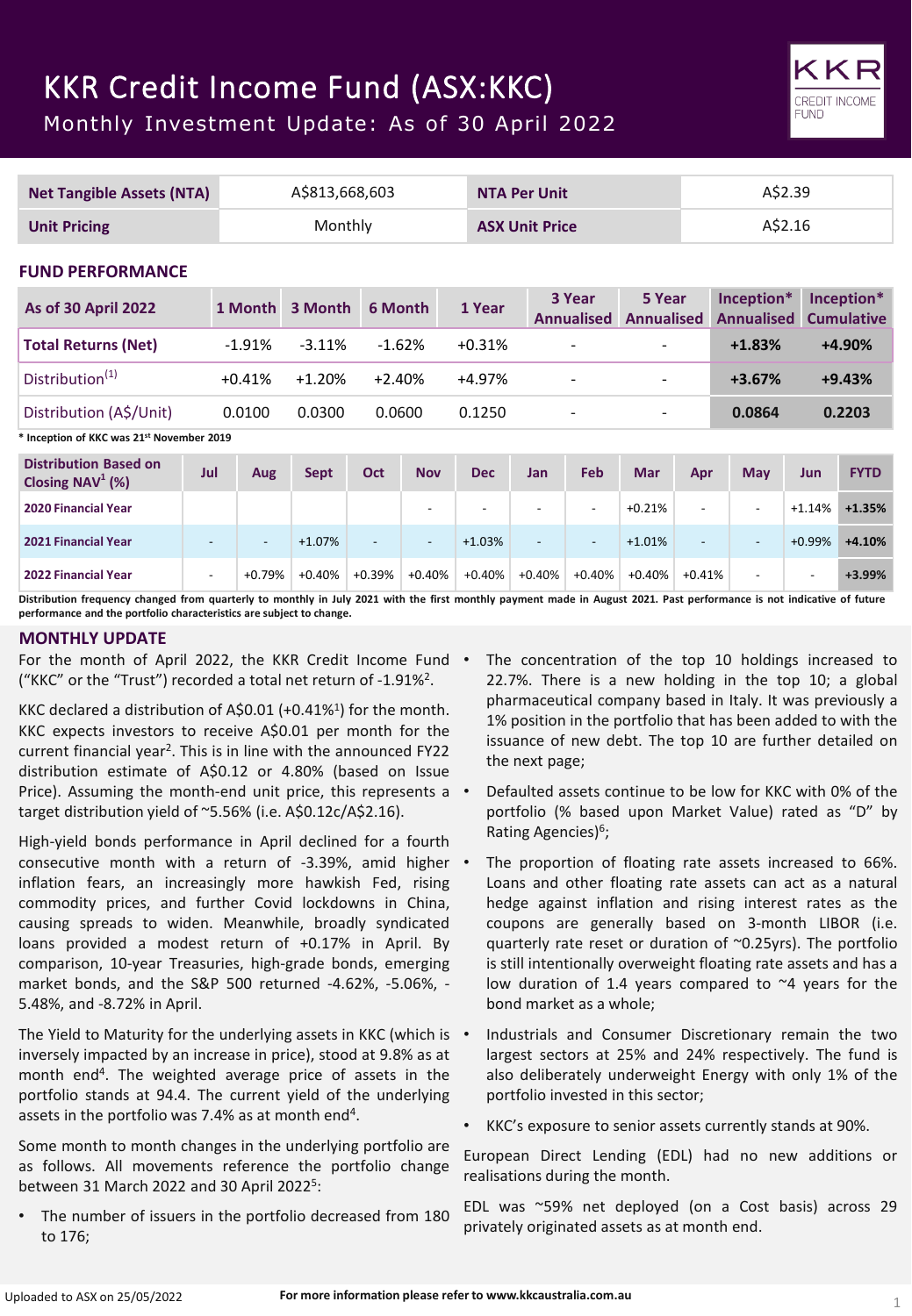# KKR Credit Income Fund (ASX:KKC)

Monthly Investment Update: As of 30 April 2022



Distribution frequency changed from quarterly to monthly in July 2021 with the first monthly payment made in August 2021. Past performance is not indicative of future **performance and the portfolio characteristics are subject to change.**

## **MONTHLY UPDATE**

For the month of April 2022, the KKR Credit Income Fund . ("KKC" or the "Trust") recorded a total net return of -1.91%2.

KKC declared a distribution of A\$0.01 (+0.41%<sup>1</sup>) for the month. KKC expects investors to receive A\$0.01 per month for the current financial year<sup>2</sup>. This is in line with the announced FY22 distribution estimate of A\$0.12 or 4.80% (based on Issue Price). Assuming the month-end unit price, this represents a • target distribution yield of ~5.56% (i.e. A\$0.12c/A\$2.16).

High-yield bonds performance in April declined for a fourth consecutive month with a return of -3.39%, amid higher inflation fears, an increasingly more hawkish Fed, rising commodity prices, and further Covid lockdowns in China, causing spreads to widen. Meanwhile, broadly syndicated loans provided a modest return of +0.17% in April. By comparison, 10-year Treasuries, high-grade bonds, emerging market bonds, and the S&P 500 returned -4.62%, -5.06%, - 5.48%, and -8.72% in April.

The Yield to Maturity for the underlying assets in KKC (which is • inversely impacted by an increase in price), stood at 9.8% as at month end4. The weighted average price of assets in the portfolio stands at 94.4. The current yield of the underlying assets in the portfolio was 7.4% as at month end<sup>4</sup>.

Some month to month changes in the underlying portfolio are as follows. All movements reference the portfolio change between 31 March 2022 and 30 April 20225:

The number of issuers in the portfolio decreased from 180 to 176;

The concentration of the top 10 holdings increased to 22.7%. There is a new holding in the top 10; a global pharmaceutical company based in Italy. It was previously a 1% position in the portfolio that has been added to with the issuance of new debt. The top 10 are further detailed on the next page;

KKR **CREDIT INCOME FUND** 

- Defaulted assets continue to be low for KKC with 0% of the portfolio (% based upon Market Value) rated as "D" by Rating Agencies)<sup>6</sup>;
- The proportion of floating rate assets increased to 66%. Loans and other floating rate assets can act as a natural hedge against inflation and rising interest rates as the coupons are generally based on 3-month LIBOR (i.e. quarterly rate reset or duration of ~0.25yrs). The portfolio is still intentionally overweight floating rate assets and has a low duration of 1.4 years compared to ~4 years for the bond market as a whole;
- Industrials and Consumer Discretionary remain the two largest sectors at 25% and 24% respectively. The fund is also deliberately underweight Energy with only 1% of the portfolio invested in this sector;
- KKC's exposure to senior assets currently stands at 90%.

European Direct Lending (EDL) had no new additions or realisations during the month.

EDL was ~59% net deployed (on a Cost basis) across 29 privately originated assets as at month end.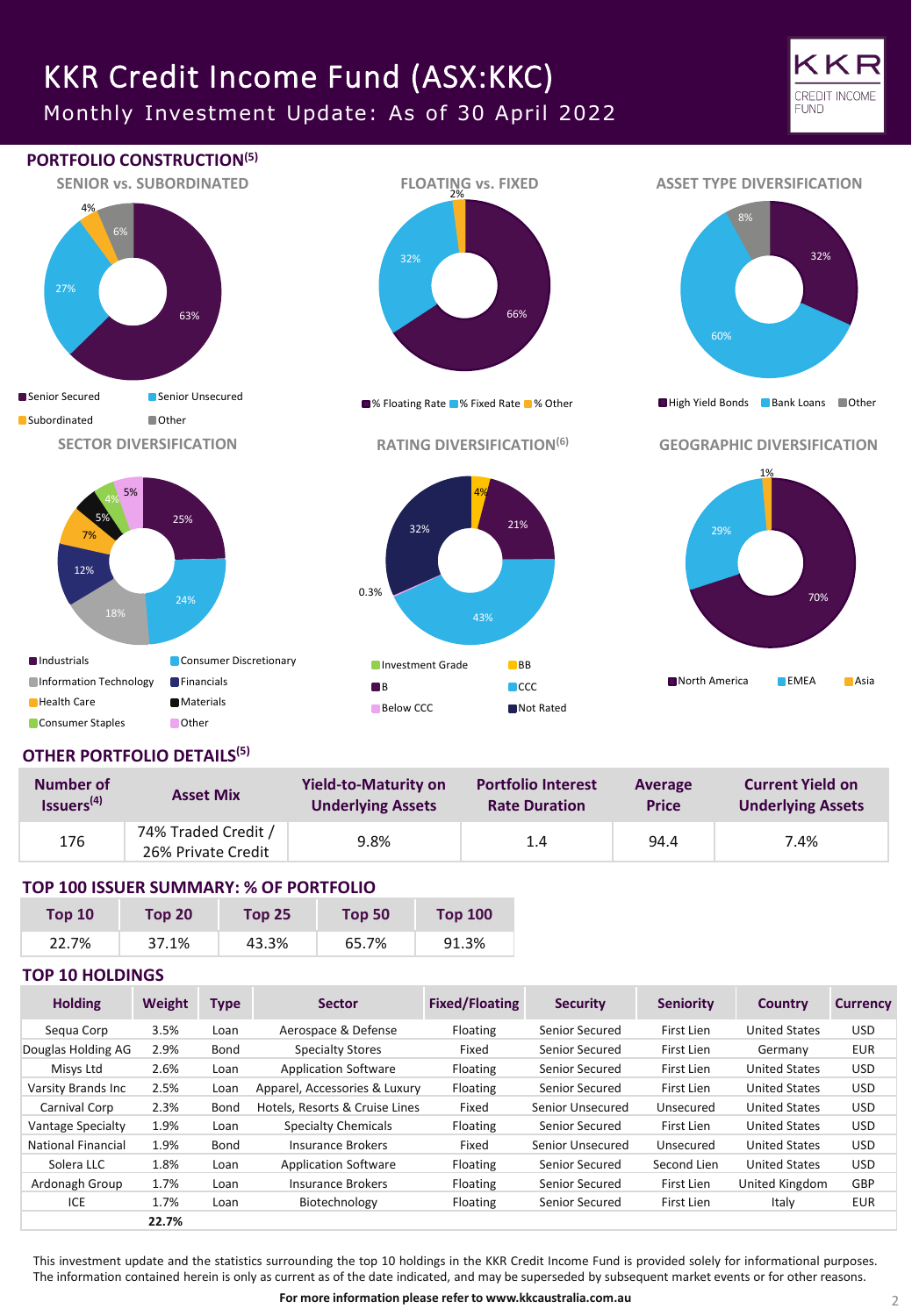# KKR Credit Income Fund (ASX:KKC)

Monthly Investment Update: As of 30 April 2022





## **OTHER PORTFOLIO DETAILS(5)**

| Number of              | <b>Asset Mix</b>                          | <b>Yield-to-Maturity on</b> | <b>Portfolio Interest</b> | Average      | <b>Current Yield on</b>  |
|------------------------|-------------------------------------------|-----------------------------|---------------------------|--------------|--------------------------|
| Issuers <sup>(4)</sup> |                                           | <b>Underlying Assets</b>    | <b>Rate Duration</b>      | <b>Price</b> | <b>Underlying Assets</b> |
| 176                    | 74% Traded Credit /<br>26% Private Credit | 9.8%                        | 1.4                       | 94.4         | 7.4%                     |

## **TOP 100 ISSUER SUMMARY: % OF PORTFOLIO**

| <b>Top 10</b> | <b>Top 20</b> | <b>Top 25</b> | Top 50 | <b>Top 100</b> |
|---------------|---------------|---------------|--------|----------------|
| 22.7%         | 37.1%         | 43.3%         | 65.7%  | 91.3%          |

## **TOP 10 HOLDINGS**

| <b>Holding</b>     | <b>Weight</b> | <b>Type</b> | <b>Sector</b>                  | <b>Fixed/Floating</b> | <b>Security</b>  | <b>Seniority</b> | <b>Country</b>       | <b>Currency</b> |
|--------------------|---------------|-------------|--------------------------------|-----------------------|------------------|------------------|----------------------|-----------------|
| Segua Corp         | 3.5%          | Loan        | Aerospace & Defense            | Floating              | Senior Secured   | First Lien       | <b>United States</b> | USD.            |
| Douglas Holding AG | 2.9%          | Bond        | Specialty Stores               | Fixed                 | Senior Secured   | First Lien       | Germany              | <b>EUR</b>      |
| Misys Ltd          | 2.6%          | Loan        | <b>Application Software</b>    | Floating              | Senior Secured   | First Lien       | <b>United States</b> | <b>USD</b>      |
| Varsity Brands Inc | 2.5%          | Loan        | Apparel, Accessories & Luxury  | Floating              | Senior Secured   | First Lien       | <b>United States</b> | <b>USD</b>      |
| Carnival Corp      | 2.3%          | Bond        | Hotels, Resorts & Cruise Lines | Fixed                 | Senior Unsecured | Unsecured        | <b>United States</b> | USD.            |
| Vantage Specialty  | 1.9%          | Loan        | <b>Specialty Chemicals</b>     | Floating              | Senior Secured   | First Lien       | <b>United States</b> | USD.            |
| National Financial | 1.9%          | Bond        | Insurance Brokers              | Fixed                 | Senior Unsecured | Unsecured        | <b>United States</b> | USD.            |
| Solera LLC         | 1.8%          | Loan        | <b>Application Software</b>    | Floating              | Senior Secured   | Second Lien      | <b>United States</b> | USD.            |
| Ardonagh Group     | 1.7%          | Loan        | Insurance Brokers              | Floating              | Senior Secured   | First Lien       | United Kingdom       | GBP             |
| ICE                | 1.7%          | Loan        | Biotechnology                  | Floating              | Senior Secured   | First Lien       | Italy                | <b>EUR</b>      |
|                    | 22.7%         |             |                                |                       |                  |                  |                      |                 |

This investment update and the statistics surrounding the top 10 holdings in the KKR Credit Income Fund is provided solely for informational purposes. The information contained herein is only as current as of the date indicated, and may be superseded by subsequent market events or for other reasons.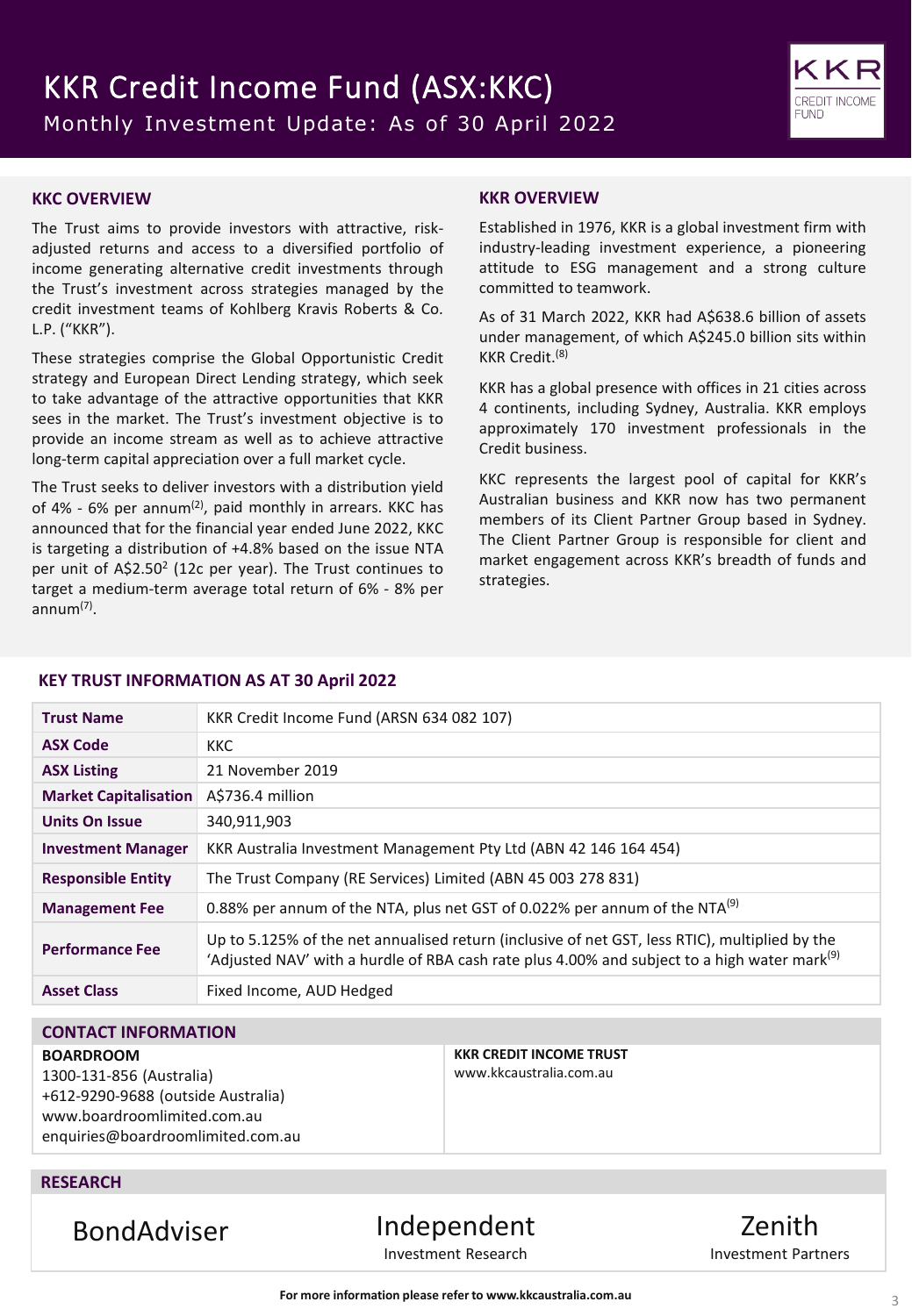

## **KKC OVERVIEW**

The Trust aims to provide investors with attractive, riskadjusted returns and access to a diversified portfolio of income generating alternative credit investments through the Trust's investment across strategies managed by the credit investment teams of Kohlberg Kravis Roberts & Co. L.P. ("KKR").

These strategies comprise the Global Opportunistic Credit strategy and European Direct Lending strategy, which seek to take advantage of the attractive opportunities that KKR sees in the market. The Trust's investment objective is to provide an income stream as well as to achieve attractive long-term capital appreciation over a full market cycle.

The Trust seeks to deliver investors with a distribution yield of 4% - 6% per annum<sup>(2)</sup>, paid monthly in arrears. KKC has announced that for the financial year ended June 2022, KKC is targeting a distribution of +4.8% based on the issue NTA per unit of A\$2.50<sup>2</sup> (12c per year). The Trust continues to target a medium-term average total return of 6% - 8% per annum(7) .

### **KKR OVERVIEW**

Established in 1976, KKR is a global investment firm with industry-leading investment experience, a pioneering attitude to ESG management and a strong culture committed to teamwork.

As of 31 March 2022, KKR had A\$638.6 billion of assets under management, of which A\$245.0 billion sits within KKR Credit. (8)

KKR has a global presence with offices in 21 cities across 4 continents, including Sydney, Australia. KKR employs approximately 170 investment professionals in the Credit business.

KKC represents the largest pool of capital for KKR's Australian business and KKR now has two permanent members of its Client Partner Group based in Sydney. The Client Partner Group is responsible for client and market engagement across KKR's breadth of funds and strategies.

### **KEY TRUST INFORMATION AS AT 30 April 2022**

| <b>Trust Name</b>            | KKR Credit Income Fund (ARSN 634 082 107)                                                                                                                                                                  |
|------------------------------|------------------------------------------------------------------------------------------------------------------------------------------------------------------------------------------------------------|
| <b>ASX Code</b>              | <b>KKC</b>                                                                                                                                                                                                 |
| <b>ASX Listing</b>           | 21 November 2019                                                                                                                                                                                           |
| <b>Market Capitalisation</b> | A\$736.4 million                                                                                                                                                                                           |
| <b>Units On Issue</b>        | 340,911,903                                                                                                                                                                                                |
| <b>Investment Manager</b>    | KKR Australia Investment Management Pty Ltd (ABN 42 146 164 454)                                                                                                                                           |
| <b>Responsible Entity</b>    | The Trust Company (RE Services) Limited (ABN 45 003 278 831)                                                                                                                                               |
| <b>Management Fee</b>        | 0.88% per annum of the NTA, plus net GST of 0.022% per annum of the NTA <sup>(9)</sup>                                                                                                                     |
| <b>Performance Fee</b>       | Up to 5.125% of the net annualised return (inclusive of net GST, less RTIC), multiplied by the<br>'Adjusted NAV' with a hurdle of RBA cash rate plus 4.00% and subject to a high water mark <sup>(9)</sup> |
| <b>Asset Class</b>           | Fixed Income, AUD Hedged                                                                                                                                                                                   |

## **CONTACT INFORMATION**

#### **BOARDROOM**

1300-131-856 (Australia) +612-9290-9688 (outside Australia) www.boardroomlimited.com.au enquiries@boardroomlimited.com.au **KKR CREDIT INCOME TRUST** www.kkcaustralia.com.au

## **RESEARCH**

BondAdviser Independent Investment Research

Zenith Investment Partners

**For more information please refer to www.kkcaustralia.com.au**